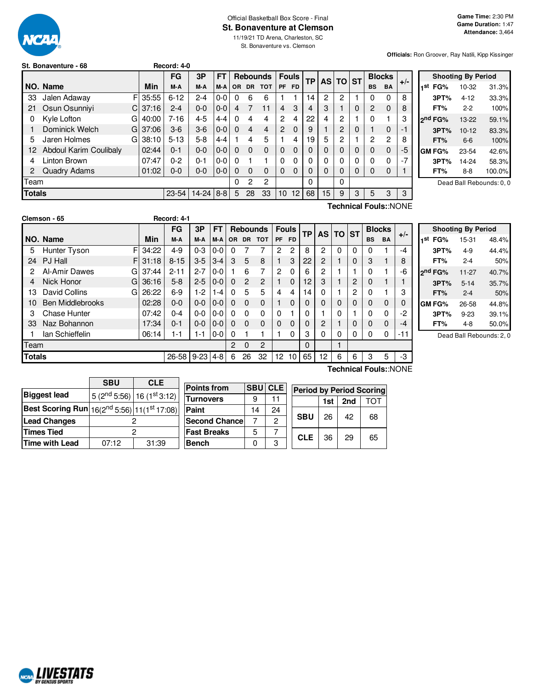

### Official Basketball Box Score - Final **St. Bonaventure at Clemson**

11/19/21 TD Arena, Charleston, SC St. Bonaventure vs. Clemson

**Officials:** Ron Groover, Ray Natili, Kipp Kissinger

|    | St. Bonaventure - 68   |    |            | Record: 4-0 |         |         |     |           |                 |          |              |           |          |          |   |           |               |       |
|----|------------------------|----|------------|-------------|---------|---------|-----|-----------|-----------------|----------|--------------|-----------|----------|----------|---|-----------|---------------|-------|
|    |                        |    |            | FG          | 3P      | F٦      |     |           | <b>Rebounds</b> |          | <b>Fouls</b> | <b>TP</b> |          | AS TO ST |   |           | <b>Blocks</b> | $+/-$ |
|    | NO. Name               |    | Min        | M-A         | M-A     | M-A I   | OR. | <b>DR</b> | <b>TOT</b>      |          | PF FD        |           |          |          |   | <b>BS</b> | BA            |       |
| 33 | Jalen Adaway           |    | FI 35:55   | $6 - 12$    | $2 - 4$ | $0-0$   | 0   | 6         | 6               |          |              | 14        | 2        | 2        |   |           | 0             | 8     |
| 21 | Osun Osunniyi          |    | $CI$ 37:16 | $2 - 4$     | $0-0$   | $0-0$   |     |           |                 | 4        | 3            | 4         | 3        |          | 0 | 2         | $\Omega$      | 8     |
|    | Kyle Lofton            | Gl | 40:00      | $7 - 16$    | $4 - 5$ | $4 - 4$ |     |           | 4               | 2        | 4            | 22        | 4        | 2        |   | 0         |               | З     |
|    | Dominick Welch         |    | GI 37:06   | $3-6$       | $3-6$   | $0 - 0$ | 0   | 4         | 4               | 2        | $\Omega$     | 9         |          | 2        | 0 |           | 0             | -1    |
| 5  | Jaren Holmes           | GI | 38:10      | $5 - 13$    | $5-8$   | $4 - 4$ |     |           | 5               |          | 4            | 19        | 5        | 2        |   | 2         | 2             | 8     |
| 12 | Abdoul Karim Coulibaly |    | 02:44      | 0-1         | $0 - 0$ | $0 - 0$ | 0   | 0         | $\Omega$        | $\Omega$ | 0            | 0         | $\Omega$ | 0        | 0 | 0         | $\Omega$      | -5    |
| 4  | Linton Brown           |    | 07:47      | 0-2         | $0 - 1$ | $0-0$   | 0   |           |                 | 0        | 0            |           | 0        | 0        | 0 | 0         | 0             | -7    |

Team | 0 2 2 | | 0 | | 0

Team 2 0 2 0 1

|     |                     | <b>Shooting By Period</b> |        |
|-----|---------------------|---------------------------|--------|
| 1st | FG%                 | 10-32                     | 31.3%  |
|     | 3PT%                | $4 - 12$                  | 33.3%  |
|     | FT%                 | $2 - 2$                   | 100%   |
|     | 2 <sup>nd</sup> FG% | 13-22                     | 59.1%  |
|     | 3PT%                | $10 - 12$                 | 83.3%  |
|     | FT%                 | $6-6$                     | 100%   |
|     | <b>GM FG%</b>       | 23-54                     | 42.6%  |
|     | 3PT%                | 14-24                     | 58.3%  |
|     | FT%                 | $8 - 8$                   | 100.0% |
|     |                     |                           |        |

Dead Ball Rebounds: 0, 0

| <b>Totals</b> |                         |   |       | $23 - 54$   | $14 - 24$ | $ 8-8 $ | 5   | 28             | 33              | 10        | 12           | 68 | 15             | 9        | 3 | 5         | 3             | 3                     |
|---------------|-------------------------|---|-------|-------------|-----------|---------|-----|----------------|-----------------|-----------|--------------|----|----------------|----------|---|-----------|---------------|-----------------------|
|               |                         |   |       |             |           |         |     |                |                 |           |              |    |                |          |   |           |               | Technical Fouls::NONE |
|               | Clemson - 65            |   |       | Record: 4-1 |           |         |     |                |                 |           |              |    |                |          |   |           |               |                       |
|               |                         |   |       | FG          | 3P        | FТ      |     |                | <b>Rebounds</b> |           | <b>Fouls</b> | ТP |                | AS TO ST |   |           | <b>Blocks</b> | $+/-$                 |
|               | NO. Name                |   | Min   | M-A         | M-A       | M-A     | OR. |                | DR TOT          | <b>PF</b> | <b>FD</b>    |    |                |          |   | <b>BS</b> | <b>BA</b>     |                       |
| 5             | Hunter Tyson            |   | 34:22 | $4 - 9$     | $0 - 3$   | $0-0$   | 0   |                |                 | 2         | 2            | 8  | 2              | 0        | 0 | 0         |               | $-4$                  |
| 24            | PJ Hall                 | F | 31:18 | $8 - 15$    | $3-5$     | $3 - 4$ | 3   | 5              | 8               |           | 3            | 22 | $\overline{2}$ |          | 0 | 3         |               | 8                     |
| 2             | Al-Amir Dawes           | G | 37:44 | $2 - 11$    | $2 - 7$   | $0-0$   |     | 6              | 7               | 2         | $\Omega$     | 6  | 2              |          |   | 0         |               | -6                    |
| 4             | Nick Honor              | G | 36:16 | $5 - 8$     | $2 - 5$   | $0-0$   | 0   | $\overline{2}$ | $\overline{c}$  |           | $\Omega$     | 12 | 3              |          | 2 | 0         |               |                       |
| 13            | David Collins           | G | 26:22 | $6 - 9$     | $-2$      | $1 - 4$ | 0   | 5              | 5               | 4         | 4            | 14 | 0              |          | 2 | 0         |               | 3                     |
| 10            | <b>Ben Middlebrooks</b> |   | 02:28 | 0-0         | $0 - 0$   | $0-0$   | 0   | 0              | $\mathbf 0$     |           | $\Omega$     | 0  | 0              | $\Omega$ | 0 | 0         | $\Omega$      |                       |
| 3             | <b>Chase Hunter</b>     |   | 07:42 | $0 - 4$     | $0-0$     | $0-0$   | 0   | 0              | 0               |           |              | 0  |                |          |   | 0         | 0             | -2                    |

33 Naz Bohannon 17:34 0-1 0-0 0-0 0 0 0 0 0 0 2 1 0 0 0 -4 1 Ian Schieffelin | 06:14 | 1-1 | 1-1 | 0-0 | 0 | 1 | 1 | 1 | 0 | 3 | 0 | 0 | 0 | 0 | 0 | 0 | -11

**Totals** 26-58 9-23 4-8 6 26 32 12 10 65 12 6 6 3 5 3

**Points from SBU CLE 11** 

2 Quadry Adams  $\begin{bmatrix} 01:02 & 0.0 & 0 & 0 & 0 & 0 & 0 & 0 & 0 & 0 & 0 & 0 & 0 & 0 & 1 \end{bmatrix}$ 

|     |                     | <b>Shooting By Period</b> |       |
|-----|---------------------|---------------------------|-------|
| 1st | FG%                 | 15-31                     | 48.4% |
|     | 3PT%                | $4-9$                     | 44.4% |
|     | FT%                 | 2-4                       | 50%   |
|     | 2 <sup>nd</sup> FG% | 11-27                     | 40.7% |
|     | 3PT%                | $5 - 14$                  | 35.7% |
|     | FT%                 | $2 - 4$                   | 50%   |
|     | <b>GMFG%</b>        | 26-58                     | 44.8% |
|     | 3PT%                | $9 - 23$                  | 39.1% |
|     | FT%                 | $4 - 8$                   | 50.0% |

Dead Ball Rebounds: 2, 0

|                                                         | <b>SBU</b> | <b>CLE</b>                          |                      |            |            |
|---------------------------------------------------------|------------|-------------------------------------|----------------------|------------|------------|
|                                                         |            |                                     | <b>Points from</b>   | <b>SBU</b> | <b>CLE</b> |
| <b>Biggest lead</b>                                     |            | $5(2^{nd} 5:56)$ 16 $(1^{st} 3:12)$ | <b>Turnovers</b>     | 9          |            |
| <b>Best Scoring Run</b> $16(2^{nd} 5:56)$ 11(1st 17:08) |            |                                     | Paint                | 14         | 24         |
| <b>Lead Changes</b>                                     |            |                                     | <b>Second Chance</b> |            | っ          |
| <b>Times Tied</b>                                       |            |                                     | <b>Fast Breaks</b>   | 5          |            |
| Time with Lead                                          | 07:12      | 31:39                               | <b>Bench</b>         |            | З          |

**Technical Fouls:**:NONE

| <b>Period by Period Scoring</b> |     |     |     |
|---------------------------------|-----|-----|-----|
|                                 | 1st | 2nd | TOT |
| <b>SBU</b>                      | 26  | 42  | 68  |
| <b>CLE</b>                      | 36  | 29  | 65  |

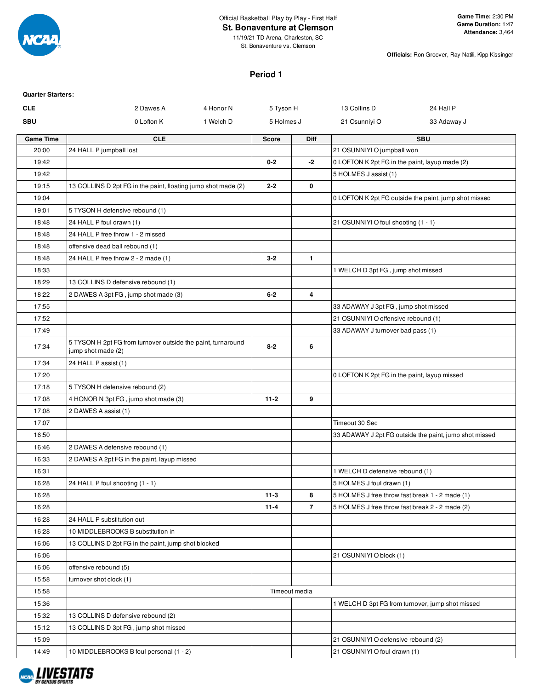

### Official Basketball Play by Play - First Half

**St. Bonaventure at Clemson**

**Officials:** Ron Groover, Ray Natili, Kipp Kissinger

### **Period 1**

| <b>Quarter Starters:</b> |                                                                                    |              |                |                                                 |                                                        |
|--------------------------|------------------------------------------------------------------------------------|--------------|----------------|-------------------------------------------------|--------------------------------------------------------|
| <b>CLE</b>               | 2 Dawes A<br>4 Honor N                                                             | 5 Tyson H    |                | 13 Collins D                                    | 24 Hall P                                              |
| <b>SBU</b>               | 0 Lofton K<br>1 Welch D                                                            | 5 Holmes J   |                | 21 Osunniyi O                                   | 33 Adaway J                                            |
| <b>Game Time</b>         | <b>CLE</b>                                                                         | <b>Score</b> | <b>Diff</b>    |                                                 | <b>SBU</b>                                             |
| 20:00                    | 24 HALL P jumpball lost                                                            |              |                | 21 OSUNNIYI O jumpball won                      |                                                        |
| 19:42                    |                                                                                    | $0 - 2$      | -2             | 0 LOFTON K 2pt FG in the paint, layup made (2)  |                                                        |
| 19:42                    |                                                                                    |              |                | 5 HOLMES J assist (1)                           |                                                        |
| 19:15                    | 13 COLLINS D 2pt FG in the paint, floating jump shot made (2)                      | $2 - 2$      | 0              |                                                 |                                                        |
| 19:04                    |                                                                                    |              |                |                                                 | 0 LOFTON K 2pt FG outside the paint, jump shot missed  |
| 19:01                    | 5 TYSON H defensive rebound (1)                                                    |              |                |                                                 |                                                        |
| 18:48                    | 24 HALL P foul drawn (1)                                                           |              |                | 21 OSUNNIYI O foul shooting (1 - 1)             |                                                        |
| 18:48                    | 24 HALL P free throw 1 - 2 missed                                                  |              |                |                                                 |                                                        |
| 18:48                    | offensive dead ball rebound (1)                                                    |              |                |                                                 |                                                        |
| 18:48                    | 24 HALL P free throw 2 - 2 made (1)                                                | $3 - 2$      | $\mathbf{1}$   |                                                 |                                                        |
| 18:33                    |                                                                                    |              |                | 1 WELCH D 3pt FG, jump shot missed              |                                                        |
| 18:29                    | 13 COLLINS D defensive rebound (1)                                                 |              |                |                                                 |                                                        |
| 18:22                    | 2 DAWES A 3pt FG, jump shot made (3)                                               | $6 - 2$      | 4              |                                                 |                                                        |
| 17:55                    |                                                                                    |              |                | 33 ADAWAY J 3pt FG, jump shot missed            |                                                        |
| 17:52                    |                                                                                    |              |                | 21 OSUNNIYI O offensive rebound (1)             |                                                        |
| 17:49                    |                                                                                    |              |                | 33 ADAWAY J turnover bad pass (1)               |                                                        |
| 17:34                    | 5 TYSON H 2pt FG from turnover outside the paint, turnaround<br>jump shot made (2) | $8 - 2$      | 6              |                                                 |                                                        |
| 17:34                    | 24 HALL P assist (1)                                                               |              |                |                                                 |                                                        |
| 17:20                    |                                                                                    |              |                | 0 LOFTON K 2pt FG in the paint, layup missed    |                                                        |
| 17:18                    | 5 TYSON H defensive rebound (2)                                                    |              |                |                                                 |                                                        |
| 17:08                    | 4 HONOR N 3pt FG, jump shot made (3)                                               | $11 - 2$     | 9              |                                                 |                                                        |
| 17:08                    | 2 DAWES A assist (1)                                                               |              |                |                                                 |                                                        |
| 17:07                    |                                                                                    |              |                | Timeout 30 Sec                                  |                                                        |
| 16:50                    |                                                                                    |              |                |                                                 | 33 ADAWAY J 2pt FG outside the paint, jump shot missed |
| 16:46                    | 2 DAWES A defensive rebound (1)                                                    |              |                |                                                 |                                                        |
| 16:33                    | 2 DAWES A 2pt FG in the paint, layup missed                                        |              |                |                                                 |                                                        |
| 16:31                    |                                                                                    |              |                | 1 WELCH D defensive rebound (1)                 |                                                        |
| 16:28                    | 24 HALL P foul shooting (1 - 1)                                                    |              |                | 5 HOLMES J foul drawn (1)                       |                                                        |
| 16:28                    |                                                                                    | $11 - 3$     | 8              | 5 HOLMES J free throw fast break 1 - 2 made (1) |                                                        |
| 16:28                    |                                                                                    | $11 - 4$     | $\overline{7}$ | 5 HOLMES J free throw fast break 2 - 2 made (2) |                                                        |
| 16:28                    | 24 HALL P substitution out                                                         |              |                |                                                 |                                                        |
| 16:28                    | 10 MIDDLEBROOKS B substitution in                                                  |              |                |                                                 |                                                        |
| 16:06                    | 13 COLLINS D 2pt FG in the paint, jump shot blocked                                |              |                |                                                 |                                                        |
| 16:06                    |                                                                                    |              |                | 21 OSUNNIYI O block (1)                         |                                                        |
| 16:06                    | offensive rebound (5)                                                              |              |                |                                                 |                                                        |
| 15:58                    | turnover shot clock (1)                                                            |              |                |                                                 |                                                        |
| 15:58                    |                                                                                    |              | Timeout media  |                                                 |                                                        |
| 15:36                    |                                                                                    |              |                |                                                 | 1 WELCH D 3pt FG from turnover, jump shot missed       |
| 15:32                    | 13 COLLINS D defensive rebound (2)                                                 |              |                |                                                 |                                                        |
| 15:12                    | 13 COLLINS D 3pt FG, jump shot missed                                              |              |                |                                                 |                                                        |
| 15:09                    |                                                                                    |              |                | 21 OSUNNIYI O defensive rebound (2)             |                                                        |
| 14:49                    | 10 MIDDLEBROOKS B foul personal (1 - 2)                                            |              |                | 21 OSUNNIYI O foul drawn (1)                    |                                                        |

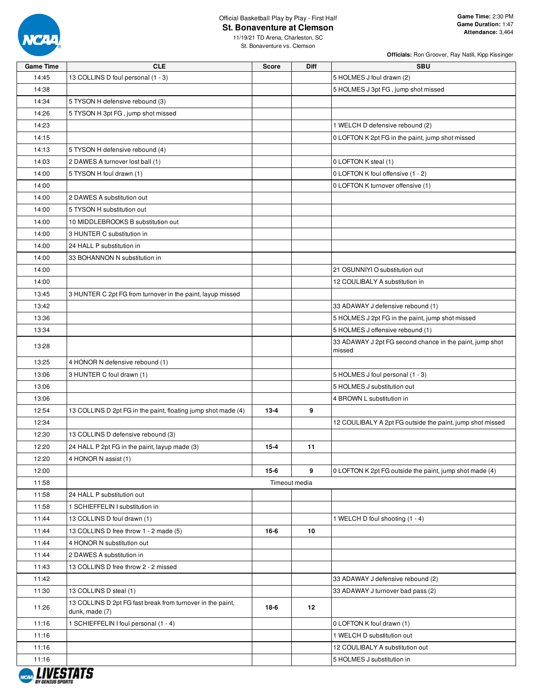

### Official Basketball Play by Play - First Half **St. Bonaventure at Clemson**

11/19/21 TD Arena, Charleston, SC St. Bonaventure vs. Clemson

| <b>Game Time</b> | <b>CLE</b>                                                                   | <b>Score</b> | <b>Diff</b>   | <b>SBU</b>                                                         |
|------------------|------------------------------------------------------------------------------|--------------|---------------|--------------------------------------------------------------------|
| 14:45            | 13 COLLINS D foul personal (1 - 3)                                           |              |               | 5 HOLMES J foul drawn (2)                                          |
| 14:38            |                                                                              |              |               | 5 HOLMES J 3pt FG, jump shot missed                                |
| 14:34            | 5 TYSON H defensive rebound (3)                                              |              |               |                                                                    |
| 14:26            | 5 TYSON H 3pt FG, jump shot missed                                           |              |               |                                                                    |
| 14:23            |                                                                              |              |               | 1 WELCH D defensive rebound (2)                                    |
| 14:15            |                                                                              |              |               | 0 LOFTON K 2pt FG in the paint, jump shot missed                   |
| 14:13            | 5 TYSON H defensive rebound (4)                                              |              |               |                                                                    |
| 14:03            | 2 DAWES A turnover lost ball (1)                                             |              |               | 0 LOFTON K steal (1)                                               |
| 14:00            | 5 TYSON H foul drawn (1)                                                     |              |               | 0 LOFTON K foul offensive (1 - 2)                                  |
| 14:00            |                                                                              |              |               | 0 LOFTON K turnover offensive (1)                                  |
| 14:00            | 2 DAWES A substitution out                                                   |              |               |                                                                    |
| 14:00            | 5 TYSON H substitution out                                                   |              |               |                                                                    |
| 14:00            | 10 MIDDLEBROOKS B substitution out                                           |              |               |                                                                    |
| 14:00            | 3 HUNTER C substitution in                                                   |              |               |                                                                    |
| 14:00            | 24 HALL P substitution in                                                    |              |               |                                                                    |
| 14:00            | 33 BOHANNON N substitution in                                                |              |               |                                                                    |
| 14:00            |                                                                              |              |               | 21 OSUNNIYI O substitution out                                     |
| 14:00            |                                                                              |              |               | 12 COULIBALY A substitution in                                     |
| 13:45            | 3 HUNTER C 2pt FG from turnover in the paint, layup missed                   |              |               |                                                                    |
| 13:42            |                                                                              |              |               | 33 ADAWAY J defensive rebound (1)                                  |
| 13:36            |                                                                              |              |               | 5 HOLMES J 2pt FG in the paint, jump shot missed                   |
| 13:34            |                                                                              |              |               | 5 HOLMES J offensive rebound (1)                                   |
| 13:28            |                                                                              |              |               | 33 ADAWAY J 2pt FG second chance in the paint, jump shot<br>missed |
| 13:25            | 4 HONOR N defensive rebound (1)                                              |              |               |                                                                    |
| 13:06            | 3 HUNTER C foul drawn (1)                                                    |              |               | 5 HOLMES J foul personal (1 - 3)                                   |
| 13:06            |                                                                              |              |               | 5 HOLMES J substitution out                                        |
| 13:06            |                                                                              |              |               | 4 BROWN L substitution in                                          |
| 12:54            | 13 COLLINS D 2pt FG in the paint, floating jump shot made (4)                | $13 - 4$     | 9             |                                                                    |
| 12:34            |                                                                              |              |               | 12 COULIBALY A 2pt FG outside the paint, jump shot missed          |
| 12:30            | 13 COLLINS D defensive rebound (3)                                           |              |               |                                                                    |
| 12:20            | 24 HALL P 2pt FG in the paint, layup made (3)                                | $15 - 4$     | 11            |                                                                    |
| 12:20            | 4 HONOR N assist (1)                                                         |              |               |                                                                    |
| 12:00            |                                                                              | $15-6$       | 9             | 0 LOFTON K 2pt FG outside the paint, jump shot made (4)            |
| 11:58            |                                                                              |              | Timeout media |                                                                    |
| 11:58            | 24 HALL P substitution out                                                   |              |               |                                                                    |
| 11:58            | 1 SCHIEFFELIN I substitution in                                              |              |               |                                                                    |
| 11:44            | 13 COLLINS D foul drawn (1)                                                  |              |               | 1 WELCH D foul shooting (1 - 4)                                    |
| 11:44            | 13 COLLINS D free throw 1 - 2 made (5)                                       | 16-6         | 10            |                                                                    |
| 11:44            | 4 HONOR N substitution out                                                   |              |               |                                                                    |
| 11:44            | 2 DAWES A substitution in                                                    |              |               |                                                                    |
| 11:43            | 13 COLLINS D free throw 2 - 2 missed                                         |              |               |                                                                    |
| 11:42            |                                                                              |              |               | 33 ADAWAY J defensive rebound (2)                                  |
| 11:30            | 13 COLLINS D steal (1)                                                       |              |               | 33 ADAWAY J turnover bad pass (2)                                  |
| 11:26            | 13 COLLINS D 2pt FG fast break from turnover in the paint,<br>dunk, made (7) | 18-6         | 12            |                                                                    |
| 11:16            | 1 SCHIEFFELIN I foul personal (1 - 4)                                        |              |               | 0 LOFTON K foul drawn (1)                                          |
| 11:16            |                                                                              |              |               | 1 WELCH D substitution out                                         |
| 11:16            |                                                                              |              |               | 12 COULIBALY A substitution out                                    |
| 11:16            |                                                                              |              |               | 5 HOLMES J substitution in                                         |
|                  |                                                                              |              |               |                                                                    |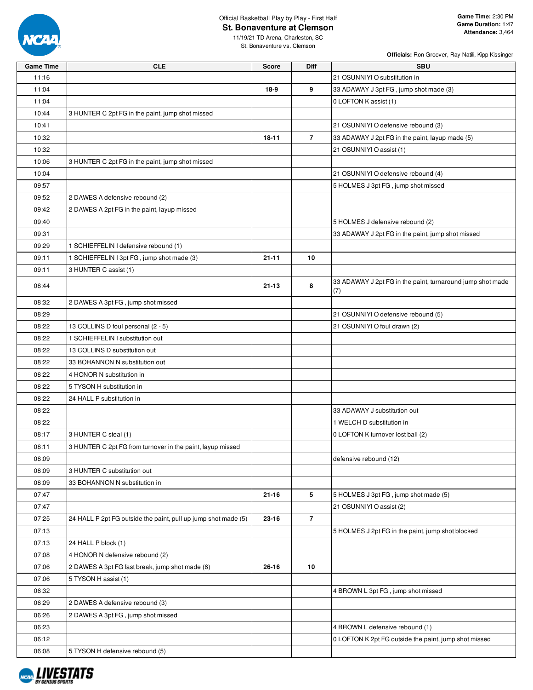

### Official Basketball Play by Play - First Half **St. Bonaventure at Clemson**

11/19/21 TD Arena, Charleston, SC St. Bonaventure vs. Clemson

| <b>Game Time</b> | <b>CLE</b>                                                     | <b>Score</b> | <b>Diff</b>    | <b>SBU</b>                                                        |
|------------------|----------------------------------------------------------------|--------------|----------------|-------------------------------------------------------------------|
| 11:16            |                                                                |              |                | 21 OSUNNIYI O substitution in                                     |
| 11:04            |                                                                | 18-9         | 9              | 33 ADAWAY J 3pt FG, jump shot made (3)                            |
| 11:04            |                                                                |              |                | 0 LOFTON K assist (1)                                             |
| 10:44            | 3 HUNTER C 2pt FG in the paint, jump shot missed               |              |                |                                                                   |
| 10:41            |                                                                |              |                | 21 OSUNNIYI O defensive rebound (3)                               |
| 10:32            |                                                                | 18-11        | $\overline{7}$ | 33 ADAWAY J 2pt FG in the paint, layup made (5)                   |
| 10:32            |                                                                |              |                | 21 OSUNNIYI O assist (1)                                          |
| 10:06            | 3 HUNTER C 2pt FG in the paint, jump shot missed               |              |                |                                                                   |
| 10:04            |                                                                |              |                | 21 OSUNNIYI O defensive rebound (4)                               |
| 09:57            |                                                                |              |                | 5 HOLMES J 3pt FG, jump shot missed                               |
| 09:52            | 2 DAWES A defensive rebound (2)                                |              |                |                                                                   |
| 09:42            | 2 DAWES A 2pt FG in the paint, layup missed                    |              |                |                                                                   |
| 09:40            |                                                                |              |                | 5 HOLMES J defensive rebound (2)                                  |
| 09:31            |                                                                |              |                | 33 ADAWAY J 2pt FG in the paint, jump shot missed                 |
| 09:29            | 1 SCHIEFFELIN I defensive rebound (1)                          |              |                |                                                                   |
| 09:11            | 1 SCHIEFFELIN I 3pt FG, jump shot made (3)                     | $21 - 11$    | 10             |                                                                   |
| 09:11            | 3 HUNTER C assist (1)                                          |              |                |                                                                   |
| 08:44            |                                                                | $21 - 13$    | 8              | 33 ADAWAY J 2pt FG in the paint, turnaround jump shot made<br>(7) |
| 08:32            | 2 DAWES A 3pt FG, jump shot missed                             |              |                |                                                                   |
| 08:29            |                                                                |              |                | 21 OSUNNIYI O defensive rebound (5)                               |
| 08:22            | 13 COLLINS D foul personal (2 - 5)                             |              |                | 21 OSUNNIYI O foul drawn (2)                                      |
| 08:22            | 1 SCHIEFFELIN I substitution out                               |              |                |                                                                   |
| 08:22            | 13 COLLINS D substitution out                                  |              |                |                                                                   |
| 08:22            | 33 BOHANNON N substitution out                                 |              |                |                                                                   |
| 08:22            | 4 HONOR N substitution in                                      |              |                |                                                                   |
| 08:22            | 5 TYSON H substitution in                                      |              |                |                                                                   |
| 08:22            | 24 HALL P substitution in                                      |              |                |                                                                   |
| 08:22            |                                                                |              |                | 33 ADAWAY J substitution out                                      |
| 08:22            |                                                                |              |                | 1 WELCH D substitution in                                         |
| 08:17            | 3 HUNTER C steal (1)                                           |              |                | 0 LOFTON K turnover lost ball (2)                                 |
| 08:11            | 3 HUNTER C 2pt FG from turnover in the paint, layup missed     |              |                |                                                                   |
| 08:09            |                                                                |              |                | defensive rebound (12)                                            |
| 08:09            | 3 HUNTER C substitution out                                    |              |                |                                                                   |
| 08:09            | 33 BOHANNON N substitution in                                  |              |                |                                                                   |
| 07:47            |                                                                | $21 - 16$    | 5              | 5 HOLMES J 3pt FG, jump shot made (5)                             |
| 07:47            |                                                                |              |                | 21 OSUNNIYI O assist (2)                                          |
| 07:25            | 24 HALL P 2pt FG outside the paint, pull up jump shot made (5) | 23-16        | $\overline{7}$ |                                                                   |
| 07:13            |                                                                |              |                | 5 HOLMES J 2pt FG in the paint, jump shot blocked                 |
| 07:13            | 24 HALL P block (1)                                            |              |                |                                                                   |
| 07:08            | 4 HONOR N defensive rebound (2)                                |              |                |                                                                   |
| 07:06            | 2 DAWES A 3pt FG fast break, jump shot made (6)                | 26-16        | 10             |                                                                   |
| 07:06            | 5 TYSON H assist (1)                                           |              |                |                                                                   |
| 06:32            |                                                                |              |                | 4 BROWN L 3pt FG, jump shot missed                                |
| 06:29            | 2 DAWES A defensive rebound (3)                                |              |                |                                                                   |
| 06:26            | 2 DAWES A 3pt FG, jump shot missed                             |              |                |                                                                   |
| 06:23            |                                                                |              |                | 4 BROWN L defensive rebound (1)                                   |
| 06:12            |                                                                |              |                | 0 LOFTON K 2pt FG outside the paint, jump shot missed             |
| 06:08            | 5 TYSON H defensive rebound (5)                                |              |                |                                                                   |

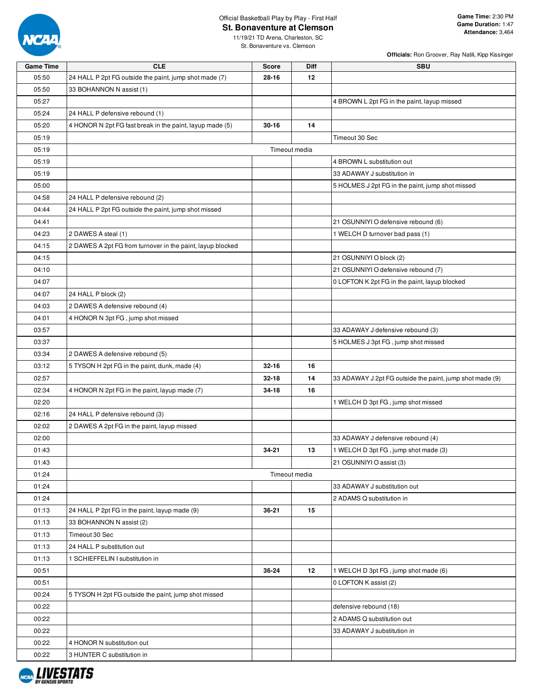

### Official Basketball Play by Play - First Half **St. Bonaventure at Clemson**

11/19/21 TD Arena, Charleston, SC St. Bonaventure vs. Clemson

| 05:50<br>24 HALL P 2pt FG outside the paint, jump shot made (7)<br>$28 - 16$<br>12<br>05:50<br>33 BOHANNON N assist (1)<br>05:27<br>4 BROWN L 2pt FG in the paint, layup missed<br>05:24<br>24 HALL P defensive rebound (1)<br>05:20<br>4 HONOR N 2pt FG fast break in the paint, layup made (5)<br>$30 - 16$<br>14<br>05:19<br>Timeout 30 Sec<br>Timeout media<br>05:19<br>05:19<br>4 BROWN L substitution out<br>05:19<br>33 ADAWAY J substitution in<br>05:00<br>5 HOLMES J 2pt FG in the paint, jump shot missed<br>04:58<br>24 HALL P defensive rebound (2)<br>24 HALL P 2pt FG outside the paint, jump shot missed<br>04:44<br>04:41<br>21 OSUNNIYI O defensive rebound (6)<br>04:23<br>2 DAWES A steal (1)<br>1 WELCH D turnover bad pass (1)<br>2 DAWES A 2pt FG from turnover in the paint, layup blocked<br>04:15<br>21 OSUNNIYI O block (2)<br>04:15<br>21 OSUNNIYI O defensive rebound (7)<br>04:10<br>04:07<br>0 LOFTON K 2pt FG in the paint, layup blocked<br>04:07<br>24 HALL P block (2)<br>2 DAWES A defensive rebound (4)<br>04:03<br>04:01<br>4 HONOR N 3pt FG, jump shot missed<br>03:57<br>33 ADAWAY J defensive rebound (3)<br>03:37<br>5 HOLMES J 3pt FG, jump shot missed<br>03:34<br>2 DAWES A defensive rebound (5)<br>03:12<br>5 TYSON H 2pt FG in the paint, dunk, made (4)<br>$32 - 16$<br>16<br>14<br>02:57<br>$32 - 18$<br>33 ADAWAY J 2pt FG outside the paint, jump shot made (9)<br>02:34<br>4 HONOR N 2pt FG in the paint, layup made (7)<br>16<br>34-18<br>02:20<br>1 WELCH D 3pt FG, jump shot missed<br>24 HALL P defensive rebound (3)<br>02:16 | <b>Game Time</b> | <b>CLE</b> | <b>Score</b> | Diff | <b>SBU</b> |
|-----------------------------------------------------------------------------------------------------------------------------------------------------------------------------------------------------------------------------------------------------------------------------------------------------------------------------------------------------------------------------------------------------------------------------------------------------------------------------------------------------------------------------------------------------------------------------------------------------------------------------------------------------------------------------------------------------------------------------------------------------------------------------------------------------------------------------------------------------------------------------------------------------------------------------------------------------------------------------------------------------------------------------------------------------------------------------------------------------------------------------------------------------------------------------------------------------------------------------------------------------------------------------------------------------------------------------------------------------------------------------------------------------------------------------------------------------------------------------------------------------------------------------------------------------------------------------------------|------------------|------------|--------------|------|------------|
|                                                                                                                                                                                                                                                                                                                                                                                                                                                                                                                                                                                                                                                                                                                                                                                                                                                                                                                                                                                                                                                                                                                                                                                                                                                                                                                                                                                                                                                                                                                                                                                         |                  |            |              |      |            |
|                                                                                                                                                                                                                                                                                                                                                                                                                                                                                                                                                                                                                                                                                                                                                                                                                                                                                                                                                                                                                                                                                                                                                                                                                                                                                                                                                                                                                                                                                                                                                                                         |                  |            |              |      |            |
|                                                                                                                                                                                                                                                                                                                                                                                                                                                                                                                                                                                                                                                                                                                                                                                                                                                                                                                                                                                                                                                                                                                                                                                                                                                                                                                                                                                                                                                                                                                                                                                         |                  |            |              |      |            |
|                                                                                                                                                                                                                                                                                                                                                                                                                                                                                                                                                                                                                                                                                                                                                                                                                                                                                                                                                                                                                                                                                                                                                                                                                                                                                                                                                                                                                                                                                                                                                                                         |                  |            |              |      |            |
|                                                                                                                                                                                                                                                                                                                                                                                                                                                                                                                                                                                                                                                                                                                                                                                                                                                                                                                                                                                                                                                                                                                                                                                                                                                                                                                                                                                                                                                                                                                                                                                         |                  |            |              |      |            |
|                                                                                                                                                                                                                                                                                                                                                                                                                                                                                                                                                                                                                                                                                                                                                                                                                                                                                                                                                                                                                                                                                                                                                                                                                                                                                                                                                                                                                                                                                                                                                                                         |                  |            |              |      |            |
|                                                                                                                                                                                                                                                                                                                                                                                                                                                                                                                                                                                                                                                                                                                                                                                                                                                                                                                                                                                                                                                                                                                                                                                                                                                                                                                                                                                                                                                                                                                                                                                         |                  |            |              |      |            |
|                                                                                                                                                                                                                                                                                                                                                                                                                                                                                                                                                                                                                                                                                                                                                                                                                                                                                                                                                                                                                                                                                                                                                                                                                                                                                                                                                                                                                                                                                                                                                                                         |                  |            |              |      |            |
|                                                                                                                                                                                                                                                                                                                                                                                                                                                                                                                                                                                                                                                                                                                                                                                                                                                                                                                                                                                                                                                                                                                                                                                                                                                                                                                                                                                                                                                                                                                                                                                         |                  |            |              |      |            |
|                                                                                                                                                                                                                                                                                                                                                                                                                                                                                                                                                                                                                                                                                                                                                                                                                                                                                                                                                                                                                                                                                                                                                                                                                                                                                                                                                                                                                                                                                                                                                                                         |                  |            |              |      |            |
|                                                                                                                                                                                                                                                                                                                                                                                                                                                                                                                                                                                                                                                                                                                                                                                                                                                                                                                                                                                                                                                                                                                                                                                                                                                                                                                                                                                                                                                                                                                                                                                         |                  |            |              |      |            |
|                                                                                                                                                                                                                                                                                                                                                                                                                                                                                                                                                                                                                                                                                                                                                                                                                                                                                                                                                                                                                                                                                                                                                                                                                                                                                                                                                                                                                                                                                                                                                                                         |                  |            |              |      |            |
|                                                                                                                                                                                                                                                                                                                                                                                                                                                                                                                                                                                                                                                                                                                                                                                                                                                                                                                                                                                                                                                                                                                                                                                                                                                                                                                                                                                                                                                                                                                                                                                         |                  |            |              |      |            |
|                                                                                                                                                                                                                                                                                                                                                                                                                                                                                                                                                                                                                                                                                                                                                                                                                                                                                                                                                                                                                                                                                                                                                                                                                                                                                                                                                                                                                                                                                                                                                                                         |                  |            |              |      |            |
|                                                                                                                                                                                                                                                                                                                                                                                                                                                                                                                                                                                                                                                                                                                                                                                                                                                                                                                                                                                                                                                                                                                                                                                                                                                                                                                                                                                                                                                                                                                                                                                         |                  |            |              |      |            |
|                                                                                                                                                                                                                                                                                                                                                                                                                                                                                                                                                                                                                                                                                                                                                                                                                                                                                                                                                                                                                                                                                                                                                                                                                                                                                                                                                                                                                                                                                                                                                                                         |                  |            |              |      |            |
|                                                                                                                                                                                                                                                                                                                                                                                                                                                                                                                                                                                                                                                                                                                                                                                                                                                                                                                                                                                                                                                                                                                                                                                                                                                                                                                                                                                                                                                                                                                                                                                         |                  |            |              |      |            |
|                                                                                                                                                                                                                                                                                                                                                                                                                                                                                                                                                                                                                                                                                                                                                                                                                                                                                                                                                                                                                                                                                                                                                                                                                                                                                                                                                                                                                                                                                                                                                                                         |                  |            |              |      |            |
|                                                                                                                                                                                                                                                                                                                                                                                                                                                                                                                                                                                                                                                                                                                                                                                                                                                                                                                                                                                                                                                                                                                                                                                                                                                                                                                                                                                                                                                                                                                                                                                         |                  |            |              |      |            |
|                                                                                                                                                                                                                                                                                                                                                                                                                                                                                                                                                                                                                                                                                                                                                                                                                                                                                                                                                                                                                                                                                                                                                                                                                                                                                                                                                                                                                                                                                                                                                                                         |                  |            |              |      |            |
|                                                                                                                                                                                                                                                                                                                                                                                                                                                                                                                                                                                                                                                                                                                                                                                                                                                                                                                                                                                                                                                                                                                                                                                                                                                                                                                                                                                                                                                                                                                                                                                         |                  |            |              |      |            |
|                                                                                                                                                                                                                                                                                                                                                                                                                                                                                                                                                                                                                                                                                                                                                                                                                                                                                                                                                                                                                                                                                                                                                                                                                                                                                                                                                                                                                                                                                                                                                                                         |                  |            |              |      |            |
|                                                                                                                                                                                                                                                                                                                                                                                                                                                                                                                                                                                                                                                                                                                                                                                                                                                                                                                                                                                                                                                                                                                                                                                                                                                                                                                                                                                                                                                                                                                                                                                         |                  |            |              |      |            |
|                                                                                                                                                                                                                                                                                                                                                                                                                                                                                                                                                                                                                                                                                                                                                                                                                                                                                                                                                                                                                                                                                                                                                                                                                                                                                                                                                                                                                                                                                                                                                                                         |                  |            |              |      |            |
|                                                                                                                                                                                                                                                                                                                                                                                                                                                                                                                                                                                                                                                                                                                                                                                                                                                                                                                                                                                                                                                                                                                                                                                                                                                                                                                                                                                                                                                                                                                                                                                         |                  |            |              |      |            |
|                                                                                                                                                                                                                                                                                                                                                                                                                                                                                                                                                                                                                                                                                                                                                                                                                                                                                                                                                                                                                                                                                                                                                                                                                                                                                                                                                                                                                                                                                                                                                                                         |                  |            |              |      |            |
|                                                                                                                                                                                                                                                                                                                                                                                                                                                                                                                                                                                                                                                                                                                                                                                                                                                                                                                                                                                                                                                                                                                                                                                                                                                                                                                                                                                                                                                                                                                                                                                         |                  |            |              |      |            |
|                                                                                                                                                                                                                                                                                                                                                                                                                                                                                                                                                                                                                                                                                                                                                                                                                                                                                                                                                                                                                                                                                                                                                                                                                                                                                                                                                                                                                                                                                                                                                                                         |                  |            |              |      |            |
|                                                                                                                                                                                                                                                                                                                                                                                                                                                                                                                                                                                                                                                                                                                                                                                                                                                                                                                                                                                                                                                                                                                                                                                                                                                                                                                                                                                                                                                                                                                                                                                         |                  |            |              |      |            |
|                                                                                                                                                                                                                                                                                                                                                                                                                                                                                                                                                                                                                                                                                                                                                                                                                                                                                                                                                                                                                                                                                                                                                                                                                                                                                                                                                                                                                                                                                                                                                                                         |                  |            |              |      |            |
| 02:02<br>2 DAWES A 2pt FG in the paint, layup missed                                                                                                                                                                                                                                                                                                                                                                                                                                                                                                                                                                                                                                                                                                                                                                                                                                                                                                                                                                                                                                                                                                                                                                                                                                                                                                                                                                                                                                                                                                                                    |                  |            |              |      |            |
| 33 ADAWAY J defensive rebound (4)<br>02:00                                                                                                                                                                                                                                                                                                                                                                                                                                                                                                                                                                                                                                                                                                                                                                                                                                                                                                                                                                                                                                                                                                                                                                                                                                                                                                                                                                                                                                                                                                                                              |                  |            |              |      |            |
| $34 - 21$<br>1 WELCH D 3pt FG, jump shot made (3)<br>01:43<br>13                                                                                                                                                                                                                                                                                                                                                                                                                                                                                                                                                                                                                                                                                                                                                                                                                                                                                                                                                                                                                                                                                                                                                                                                                                                                                                                                                                                                                                                                                                                        |                  |            |              |      |            |
| 21 OSUNNIYI O assist (3)<br>01:43                                                                                                                                                                                                                                                                                                                                                                                                                                                                                                                                                                                                                                                                                                                                                                                                                                                                                                                                                                                                                                                                                                                                                                                                                                                                                                                                                                                                                                                                                                                                                       |                  |            |              |      |            |
| 01:24<br>Timeout media                                                                                                                                                                                                                                                                                                                                                                                                                                                                                                                                                                                                                                                                                                                                                                                                                                                                                                                                                                                                                                                                                                                                                                                                                                                                                                                                                                                                                                                                                                                                                                  |                  |            |              |      |            |
| 33 ADAWAY J substitution out<br>01:24                                                                                                                                                                                                                                                                                                                                                                                                                                                                                                                                                                                                                                                                                                                                                                                                                                                                                                                                                                                                                                                                                                                                                                                                                                                                                                                                                                                                                                                                                                                                                   |                  |            |              |      |            |
| 01:24<br>2 ADAMS Q substitution in                                                                                                                                                                                                                                                                                                                                                                                                                                                                                                                                                                                                                                                                                                                                                                                                                                                                                                                                                                                                                                                                                                                                                                                                                                                                                                                                                                                                                                                                                                                                                      |                  |            |              |      |            |
| 01:13<br>24 HALL P 2pt FG in the paint, layup made (9)<br>36-21<br>15                                                                                                                                                                                                                                                                                                                                                                                                                                                                                                                                                                                                                                                                                                                                                                                                                                                                                                                                                                                                                                                                                                                                                                                                                                                                                                                                                                                                                                                                                                                   |                  |            |              |      |            |
| 01:13<br>33 BOHANNON N assist (2)                                                                                                                                                                                                                                                                                                                                                                                                                                                                                                                                                                                                                                                                                                                                                                                                                                                                                                                                                                                                                                                                                                                                                                                                                                                                                                                                                                                                                                                                                                                                                       |                  |            |              |      |            |
| 01:13<br>Timeout 30 Sec                                                                                                                                                                                                                                                                                                                                                                                                                                                                                                                                                                                                                                                                                                                                                                                                                                                                                                                                                                                                                                                                                                                                                                                                                                                                                                                                                                                                                                                                                                                                                                 |                  |            |              |      |            |
| 01:13<br>24 HALL P substitution out                                                                                                                                                                                                                                                                                                                                                                                                                                                                                                                                                                                                                                                                                                                                                                                                                                                                                                                                                                                                                                                                                                                                                                                                                                                                                                                                                                                                                                                                                                                                                     |                  |            |              |      |            |
| 01:13<br>1 SCHIEFFELIN I substitution in                                                                                                                                                                                                                                                                                                                                                                                                                                                                                                                                                                                                                                                                                                                                                                                                                                                                                                                                                                                                                                                                                                                                                                                                                                                                                                                                                                                                                                                                                                                                                |                  |            |              |      |            |
| 00:51<br>36-24<br>12<br>1 WELCH D 3pt FG, jump shot made (6)                                                                                                                                                                                                                                                                                                                                                                                                                                                                                                                                                                                                                                                                                                                                                                                                                                                                                                                                                                                                                                                                                                                                                                                                                                                                                                                                                                                                                                                                                                                            |                  |            |              |      |            |
| 0 LOFTON K assist (2)<br>00:51                                                                                                                                                                                                                                                                                                                                                                                                                                                                                                                                                                                                                                                                                                                                                                                                                                                                                                                                                                                                                                                                                                                                                                                                                                                                                                                                                                                                                                                                                                                                                          |                  |            |              |      |            |
| 00:24<br>5 TYSON H 2pt FG outside the paint, jump shot missed                                                                                                                                                                                                                                                                                                                                                                                                                                                                                                                                                                                                                                                                                                                                                                                                                                                                                                                                                                                                                                                                                                                                                                                                                                                                                                                                                                                                                                                                                                                           |                  |            |              |      |            |
| 00:22<br>defensive rebound (18)                                                                                                                                                                                                                                                                                                                                                                                                                                                                                                                                                                                                                                                                                                                                                                                                                                                                                                                                                                                                                                                                                                                                                                                                                                                                                                                                                                                                                                                                                                                                                         |                  |            |              |      |            |
| 00:22<br>2 ADAMS Q substitution out                                                                                                                                                                                                                                                                                                                                                                                                                                                                                                                                                                                                                                                                                                                                                                                                                                                                                                                                                                                                                                                                                                                                                                                                                                                                                                                                                                                                                                                                                                                                                     |                  |            |              |      |            |
| 00:22<br>33 ADAWAY J substitution in                                                                                                                                                                                                                                                                                                                                                                                                                                                                                                                                                                                                                                                                                                                                                                                                                                                                                                                                                                                                                                                                                                                                                                                                                                                                                                                                                                                                                                                                                                                                                    |                  |            |              |      |            |
| 00:22<br>4 HONOR N substitution out                                                                                                                                                                                                                                                                                                                                                                                                                                                                                                                                                                                                                                                                                                                                                                                                                                                                                                                                                                                                                                                                                                                                                                                                                                                                                                                                                                                                                                                                                                                                                     |                  |            |              |      |            |
| 00:22<br>3 HUNTER C substitution in                                                                                                                                                                                                                                                                                                                                                                                                                                                                                                                                                                                                                                                                                                                                                                                                                                                                                                                                                                                                                                                                                                                                                                                                                                                                                                                                                                                                                                                                                                                                                     |                  |            |              |      |            |

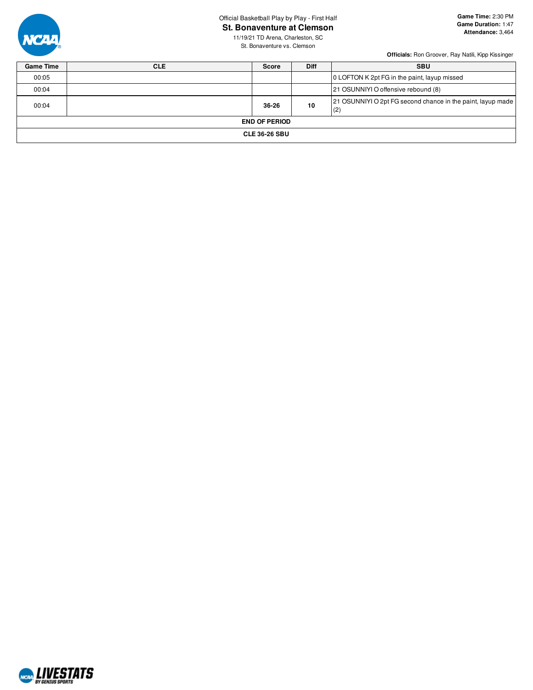### Official Basketball Play by Play - First Half

**St. Bonaventure at Clemson**



**Game Time:** 2:30 PM **Game Duration:** 1:47 **Attendance:** 3,464

11/19/21 TD Arena, Charleston, SC St. Bonaventure vs. Clemson

| <b>Game Time</b> | <b>CLE</b> | <b>Score</b>         | <b>Diff</b> | <b>SBU</b>                                                         |
|------------------|------------|----------------------|-------------|--------------------------------------------------------------------|
| 00:05            |            |                      |             | 0 LOFTON K 2pt FG in the paint, layup missed                       |
| 00:04            |            |                      |             | 21 OSUNNIYI O offensive rebound (8)                                |
| 00:04            |            | 36-26                | 10          | 21 OSUNNIYI O 2pt FG second chance in the paint, layup made<br>(2) |
|                  |            | <b>END OF PERIOD</b> |             |                                                                    |
|                  |            | <b>CLE 36-26 SBU</b> |             |                                                                    |

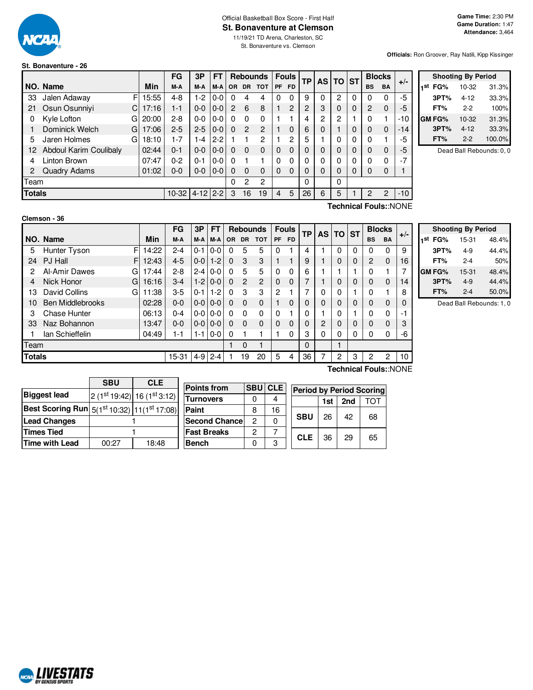

## Official Basketball Box Score - First Half **St. Bonaventure at Clemson**

11/19/21 TD Arena, Charleston, SC St. Bonaventure vs. Clemson

**Officials:** Ron Groover, Ray Natili, Kipp Kissinger

### **St. Bonaventure - 26**

|               |                        |   |       | FG      | 3P       | FΤ      |           |                | <b>Rebounds</b> |           | <b>Fouls</b> | <b>TP</b> | <b>AS</b> | <b>TO ST</b> |   |           | <b>Blocks</b>  | $+/-$ |
|---------------|------------------------|---|-------|---------|----------|---------|-----------|----------------|-----------------|-----------|--------------|-----------|-----------|--------------|---|-----------|----------------|-------|
|               | NO. Name               |   | Min   | M-A     | M-A      | M-A     | <b>OR</b> | <b>DR</b>      | <b>TOT</b>      | <b>PF</b> | <b>FD</b>    |           |           |              |   | <b>BS</b> | <b>BA</b>      |       |
| 33            | Jalen Adaway           | F | 15:55 | 4-8     | $1-2$    | $0-0$   | 0         | 4              | 4               | 0         | 0            | 9         | 0         | 2            | 0 | 0         | 0              | -5    |
| 21            | Osun Osunniyi          | C | 17:16 | 1-1     | $0 - 0$  | $0 - 0$ | 2         | 6              | 8               |           | 2            | 2         | 3         | 0            | 0 | 2         | 0              | -5    |
| 0             | Kyle Lofton            | G | 20:00 | $2 - 8$ | $0 - 0$  | 0-0     | 0         | $\Omega$       | $\Omega$        |           |              | 4         | 2         | 2            |   | 0         |                | -10   |
|               | Dominick Welch         | G | 17:06 | $2 - 5$ | $2 - 5$  | $0-0$   | 0         | $\overline{2}$ | 2               |           | $\Omega$     | 6         | 0         |              | 0 | 0         | $\Omega$       | $-14$ |
| 5             | Jaren Holmes           | G | 18:10 | 1-7     | 1-4      | $2-2$   |           |                | 2               |           | 2            | 5         |           | 0            | 0 | $\Omega$  |                | -5    |
| 12            | Abdoul Karim Coulibaly |   | 02:44 | $0 - 1$ | $0 - 0$  | $0-0$   | 0         | $\Omega$       | $\Omega$        | $\Omega$  | 0            | 0         | 0         | 0            | 0 | $\Omega$  | 0              | $-5$  |
| 4             | Linton Brown           |   | 07:47 | 0-2     | $0 - 1$  | $0-0$   | 0         |                |                 | $\Omega$  | 0            | 0         | 0         | 0            | 0 | $\Omega$  | 0              | $-7$  |
| 2             | Quadry Adams           |   | 01:02 | $0 - 0$ | $0 - 0$  | $0-0$   | 0         | $\Omega$       | $\Omega$        | $\Omega$  | $\Omega$     | 0         | 0         | 0            | 0 | 0         | 0              |       |
| Team          |                        |   |       |         |          |         | 0         | $\overline{2}$ | 2               |           |              | 0         |           | 0            |   |           |                |       |
| <b>Totals</b> |                        |   |       | $10-32$ | $4 - 12$ | $2 - 2$ | 3         | 16             | 19              | 4         | 5            | 26        | 6         | 5            |   | 2         | $\overline{2}$ | $-10$ |

|     | <b>Shooting By Period</b> |          |        |  |  |  |  |  |  |  |  |  |  |
|-----|---------------------------|----------|--------|--|--|--|--|--|--|--|--|--|--|
| 1st | FG%                       | 10-32    | 31.3%  |  |  |  |  |  |  |  |  |  |  |
|     | 3PT%                      | $4 - 12$ | 33.3%  |  |  |  |  |  |  |  |  |  |  |
|     | FT%                       | 2-2      | 100%   |  |  |  |  |  |  |  |  |  |  |
|     | GM FG%                    | 10-32    | 31.3%  |  |  |  |  |  |  |  |  |  |  |
|     | 3PT%                      | $4 - 12$ | 33.3%  |  |  |  |  |  |  |  |  |  |  |
|     | FT%                       | $2-2$    | 100.0% |  |  |  |  |  |  |  |  |  |  |

Dead Ball Rebounds: 0, 0

### **Clemson - 36**

**Technical Fouls:**:NONE

|                                   |                         |       | FG      | 3P      | FТ      |          |               | <b>Rebounds</b> |           | <b>Fouls</b> | TP |                | <b>AS TO</b> | <b>ST</b> | <b>Blocks</b> |             | $+/-$ |
|-----------------------------------|-------------------------|-------|---------|---------|---------|----------|---------------|-----------------|-----------|--------------|----|----------------|--------------|-----------|---------------|-------------|-------|
|                                   | NO. Name                | Min   | M-A     | M-A     | M-A     | OR.      | <b>DR</b>     | <b>TOT</b>      | <b>PF</b> | FD.          |    |                |              |           | <b>BS</b>     | <b>BA</b>   |       |
| 5                                 | F<br>Hunter Tyson       | 14:22 | 2-4     | $0 - 1$ | $0-0$   | 0        | 5             | 5               | 0         |              | 4  |                | 0            | 0         | ი             | 0           | 9     |
| 24                                | PJ Hall<br>F.           | 12:43 | $4 - 5$ | $0 - 0$ | $1-2$   | $\Omega$ | 3             | 3               |           |              | 9  |                | 0            | 0         | 2             | $\mathbf 0$ | 16    |
| 2                                 | Al-Amir Dawes<br>G      | 17:44 | $2 - 8$ | $2 - 4$ | $0 - 0$ | 0        | 5             | 5               | 0         | 0            | 6  |                |              |           | 0             |             |       |
| 4                                 | Nick Honor<br>G         | 16:16 | $3-4$   | $1 - 2$ | $0 - 0$ | 0        | $\mathcal{P}$ | 2               | 0         | $\mathbf{0}$ |    |                | 0            | 0         | 0             | 0           | 14    |
| 13                                | David Collins<br>GI     | 11:38 | $3-5$   | 0-1     | $1-2$   | 0        | 3             | 3               | 2         |              |    | 0              | 0            |           | 0             |             | 8     |
| 10                                | <b>Ben Middlebrooks</b> | 02:28 | $0 - 0$ | $0-0$   | $0 - 0$ | 0        | $\Omega$      | $\Omega$        |           | 0            | 0  |                | 0            | 0         | O             | 0           |       |
| 3                                 | <b>Chase Hunter</b>     | 06:13 | $0 - 4$ | $0-0$   | $0 - 0$ | 0        | $\Omega$      | 0               | 0         |              | 0  |                | ი            |           | ი             | 0           | -1    |
| 33                                | Naz Bohannon            | 13:47 | $0 - 0$ | $0 - 0$ | $0 - 0$ | 0        | $\Omega$      | $\Omega$        | 0         | 0            | 0  | $\overline{2}$ | 0            | 0         | 0             | 0           |       |
|                                   | lan Schieffelin         | 04:49 | 1-1     | $1 - 1$ | $0-0$   | 0        |               |                 |           | 0            | 3  | 0              | 0            | 0         | ი             | 0           | -6    |
| Team                              |                         |       |         |         |         | $\Omega$ |               |                 |           | 0            |    |                |              |           |               |             |       |
| <b>Totals</b><br>$4 - 9$<br>15-31 |                         |       |         | $2 - 4$ |         | 19       | 20            | 5               | 4         | 36           |    | 2              | 3            | 2         | 2             | 10          |       |
|                                   |                         |       |         |         |         |          |               |                 |           |              |    |                |              |           |               |             |       |

|     |        | <b>Shooting By Period</b> |       |
|-----|--------|---------------------------|-------|
| 1st | FG%    | 15-31                     | 48.4% |
|     | 3PT%   | $4-9$                     | 44.4% |
|     | FT%    | $2 - 4$                   | 50%   |
|     | GM FG% | 15-31                     | 48.4% |
|     | 3PT%   | $4-9$                     | 44.4% |
|     | FT%    | $2 - 4$                   | 50.0% |

Dead Ball Rebounds: 1, 0

|                                                                                             | <b>SBU</b> | <b>CLE</b>                |                      |    |                |                                 |     |     |     |
|---------------------------------------------------------------------------------------------|------------|---------------------------|----------------------|----|----------------|---------------------------------|-----|-----|-----|
|                                                                                             |            |                           | <b>Points from</b>   |    | <b>SBU CLE</b> | <b>Period by Period Scoring</b> |     |     |     |
| <b>Biggest lead</b>                                                                         |            | $2(1st19:42) 16(1st3:12)$ |                      |    |                |                                 |     |     |     |
|                                                                                             |            |                           | <b>Turnovers</b>     |    | 4              |                                 | 1st | 2nd | тот |
| Best Scoring Run $\left  \frac{5}{18^{13}} \frac{10:32}{11}(1^{5^{\text{t}}}17:08) \right $ |            | Paint                     | 8                    | 16 |                |                                 |     |     |     |
| <b>Lead Changes</b>                                                                         |            |                           | <b>Second Chance</b> | 2  |                | <b>SBU</b>                      | 26  | 42  | 68  |
| Times Tied                                                                                  |            |                           | <b>Fast Breaks</b>   | っ  |                | <b>CLE</b>                      | 36  | 29  | 65  |
| Time with Lead                                                                              | 00:27      | 18:48                     | <b>Bench</b>         |    |                |                                 |     |     |     |

**Technical Fouls:**:NONE

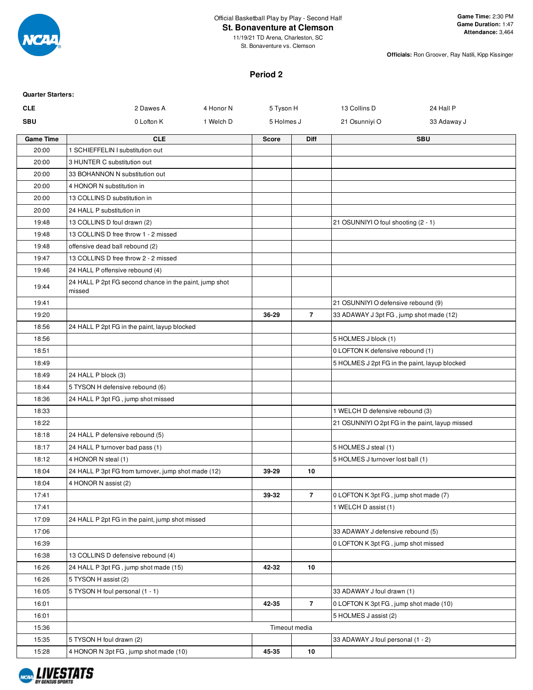

Official Basketball Play by Play - Second Half

### **St. Bonaventure at Clemson**

11/19/21 TD Arena, Charleston, SC St. Bonaventure vs. Clemson

**Officials:** Ron Groover, Ray Natili, Kipp Kissinger

#### **Period 2**

| <b>Quarter Starters:</b> |                                                                  |           |              |                |                                                 |             |
|--------------------------|------------------------------------------------------------------|-----------|--------------|----------------|-------------------------------------------------|-------------|
| <b>CLE</b>               | 2 Dawes A                                                        | 4 Honor N | 5 Tyson H    |                | 13 Collins D                                    | 24 Hall P   |
| <b>SBU</b>               | 0 Lofton K                                                       | 1 Welch D | 5 Holmes J   |                | 21 Osunniyi O                                   | 33 Adaway J |
| <b>Game Time</b>         | <b>CLE</b>                                                       |           | <b>Score</b> | <b>Diff</b>    |                                                 | <b>SBU</b>  |
| 20:00                    | 1 SCHIEFFELIN I substitution out                                 |           |              |                |                                                 |             |
| 20:00                    | 3 HUNTER C substitution out                                      |           |              |                |                                                 |             |
| 20:00                    | 33 BOHANNON N substitution out                                   |           |              |                |                                                 |             |
| 20:00                    | 4 HONOR N substitution in                                        |           |              |                |                                                 |             |
| 20:00                    | 13 COLLINS D substitution in                                     |           |              |                |                                                 |             |
| 20:00                    | 24 HALL P substitution in                                        |           |              |                |                                                 |             |
| 19:48                    | 13 COLLINS D foul drawn (2)                                      |           |              |                | 21 OSUNNIYI O foul shooting (2 - 1)             |             |
| 19:48                    | 13 COLLINS D free throw 1 - 2 missed                             |           |              |                |                                                 |             |
| 19:48                    | offensive dead ball rebound (2)                                  |           |              |                |                                                 |             |
| 19:47                    | 13 COLLINS D free throw 2 - 2 missed                             |           |              |                |                                                 |             |
| 19:46                    | 24 HALL P offensive rebound (4)                                  |           |              |                |                                                 |             |
| 19:44                    | 24 HALL P 2pt FG second chance in the paint, jump shot<br>missed |           |              |                |                                                 |             |
| 19:41                    |                                                                  |           |              |                | 21 OSUNNIYI O defensive rebound (9)             |             |
| 19:20                    |                                                                  |           | 36-29        | $\overline{7}$ | 33 ADAWAY J 3pt FG, jump shot made (12)         |             |
| 18:56                    | 24 HALL P 2pt FG in the paint, layup blocked                     |           |              |                |                                                 |             |
| 18:56                    |                                                                  |           |              |                | 5 HOLMES J block (1)                            |             |
| 18:51                    |                                                                  |           |              |                | 0 LOFTON K defensive rebound (1)                |             |
| 18:49                    |                                                                  |           |              |                | 5 HOLMES J 2pt FG in the paint, layup blocked   |             |
| 18:49                    | 24 HALL P block (3)                                              |           |              |                |                                                 |             |
| 18:44                    | 5 TYSON H defensive rebound (6)                                  |           |              |                |                                                 |             |
| 18:36                    | 24 HALL P 3pt FG, jump shot missed                               |           |              |                |                                                 |             |
| 18:33                    |                                                                  |           |              |                | 1 WELCH D defensive rebound (3)                 |             |
| 18:22                    |                                                                  |           |              |                | 21 OSUNNIYI O 2pt FG in the paint, layup missed |             |
| 18:18                    | 24 HALL P defensive rebound (5)                                  |           |              |                |                                                 |             |
| 18:17                    | 24 HALL P turnover bad pass (1)                                  |           |              |                | 5 HOLMES J steal (1)                            |             |
| 18:12                    | 4 HONOR N steal (1)                                              |           |              |                | 5 HOLMES J turnover lost ball (1)               |             |
| 18:04                    | 24 HALL P 3pt FG from turnover, jump shot made (12)              |           | 39-29        | 10             |                                                 |             |
| 18:04                    | 4 HONOR N assist (2)                                             |           |              |                |                                                 |             |
| 17:41                    |                                                                  |           | 39-32        | $\overline{7}$ | 0 LOFTON K 3pt FG, jump shot made (7)           |             |
| 17:41                    |                                                                  |           |              |                | 1 WELCH D assist (1)                            |             |
| 17:09                    | 24 HALL P 2pt FG in the paint, jump shot missed                  |           |              |                |                                                 |             |
| 17:06                    |                                                                  |           |              |                | 33 ADAWAY J defensive rebound (5)               |             |
| 16:39                    |                                                                  |           |              |                | 0 LOFTON K 3pt FG, jump shot missed             |             |
| 16:38                    | 13 COLLINS D defensive rebound (4)                               |           |              |                |                                                 |             |
| 16:26                    | 24 HALL P 3pt FG, jump shot made (15)                            |           | 42-32        | 10             |                                                 |             |
| 16:26                    | 5 TYSON H assist (2)                                             |           |              |                |                                                 |             |
| 16:05                    | 5 TYSON H foul personal (1 - 1)                                  |           |              |                | 33 ADAWAY J foul drawn (1)                      |             |
| 16:01                    |                                                                  |           | 42-35        | $\overline{7}$ | 0 LOFTON K 3pt FG, jump shot made (10)          |             |
| 16:01                    |                                                                  |           |              |                | 5 HOLMES J assist (2)                           |             |
| 15:36                    |                                                                  |           |              | Timeout media  |                                                 |             |
| 15:35                    | 5 TYSON H foul drawn (2)                                         |           |              |                | 33 ADAWAY J foul personal (1 - 2)               |             |
| 15:28                    | 4 HONOR N 3pt FG, jump shot made (10)                            |           | 45-35        | 10             |                                                 |             |

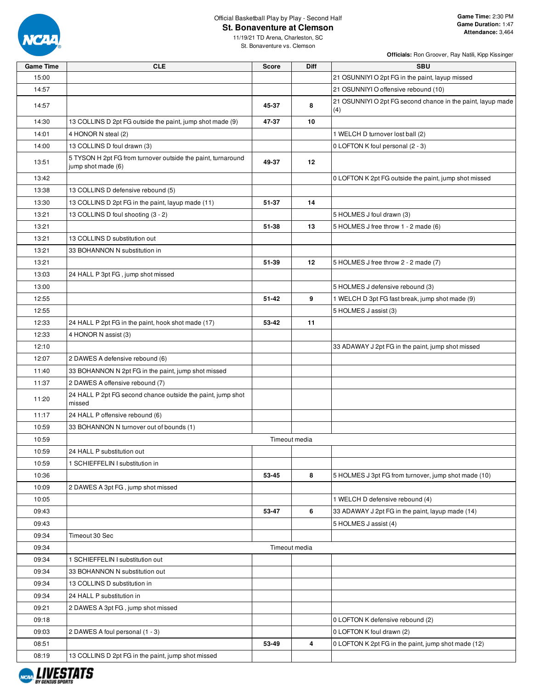

# Official Basketball Play by Play - Second Half

11/19/21 TD Arena, Charleston, SC St. Bonaventure vs. Clemson

| <b>Game Time</b> | <b>CLE</b>                                                                         | <b>Score</b> | Diff          | <b>SBU</b>                                                         |
|------------------|------------------------------------------------------------------------------------|--------------|---------------|--------------------------------------------------------------------|
| 15:00            |                                                                                    |              |               | 21 OSUNNIYI O 2pt FG in the paint, layup missed                    |
| 14:57            |                                                                                    |              |               | 21 OSUNNIYI O offensive rebound (10)                               |
| 14:57            |                                                                                    | 45-37        | 8             | 21 OSUNNIYI O 2pt FG second chance in the paint, layup made<br>(4) |
| 14:30            | 13 COLLINS D 2pt FG outside the paint, jump shot made (9)                          | 47-37        | 10            |                                                                    |
| 14:01            | 4 HONOR N steal (2)                                                                |              |               | 1 WELCH D turnover lost ball (2)                                   |
| 14:00            | 13 COLLINS D foul drawn (3)                                                        |              |               | 0 LOFTON K foul personal (2 - 3)                                   |
| 13:51            | 5 TYSON H 2pt FG from turnover outside the paint, turnaround<br>jump shot made (6) | 49-37        | 12            |                                                                    |
| 13:42            |                                                                                    |              |               | 0 LOFTON K 2pt FG outside the paint, jump shot missed              |
| 13:38            | 13 COLLINS D defensive rebound (5)                                                 |              |               |                                                                    |
| 13:30            | 13 COLLINS D 2pt FG in the paint, layup made (11)                                  | 51-37        | 14            |                                                                    |
| 13:21            | 13 COLLINS D foul shooting (3 - 2)                                                 |              |               | 5 HOLMES J foul drawn (3)                                          |
| 13:21            |                                                                                    | 51-38        | 13            | 5 HOLMES J free throw 1 - 2 made (6)                               |
| 13:21            | 13 COLLINS D substitution out                                                      |              |               |                                                                    |
| 13:21            | 33 BOHANNON N substitution in                                                      |              |               |                                                                    |
| 13:21            |                                                                                    | 51-39        | 12            | 5 HOLMES J free throw 2 - 2 made (7)                               |
| 13:03            | 24 HALL P 3pt FG, jump shot missed                                                 |              |               |                                                                    |
| 13:00            |                                                                                    |              |               | 5 HOLMES J defensive rebound (3)                                   |
| 12:55            |                                                                                    | $51 - 42$    | 9             | 1 WELCH D 3pt FG fast break, jump shot made (9)                    |
| 12:55            |                                                                                    |              |               | 5 HOLMES J assist (3)                                              |
| 12:33            | 24 HALL P 2pt FG in the paint, hook shot made (17)                                 | 53-42        | 11            |                                                                    |
| 12:33            | 4 HONOR N assist (3)                                                               |              |               |                                                                    |
| 12:10            |                                                                                    |              |               | 33 ADAWAY J 2pt FG in the paint, jump shot missed                  |
| 12:07            | 2 DAWES A defensive rebound (6)                                                    |              |               |                                                                    |
| 11:40            | 33 BOHANNON N 2pt FG in the paint, jump shot missed                                |              |               |                                                                    |
| 11:37            | 2 DAWES A offensive rebound (7)                                                    |              |               |                                                                    |
| 11:20            | 24 HALL P 2pt FG second chance outside the paint, jump shot<br>missed              |              |               |                                                                    |
| 11:17            | 24 HALL P offensive rebound (6)                                                    |              |               |                                                                    |
| 10:59            | 33 BOHANNON N turnover out of bounds (1)                                           |              |               |                                                                    |
| 10:59            |                                                                                    |              | Timeout media |                                                                    |
| 10:59            | 24 HALL P substitution out                                                         |              |               |                                                                    |
| 10:59            | 1 SCHIEFFELIN I substitution in                                                    |              |               |                                                                    |
| 10:36            |                                                                                    | 53-45        | 8             | 5 HOLMES J 3pt FG from turnover, jump shot made (10)               |
| 10:09            | 2 DAWES A 3pt FG, jump shot missed                                                 |              |               |                                                                    |
| 10:05            |                                                                                    |              |               | 1 WELCH D defensive rebound (4)                                    |
| 09:43            |                                                                                    | 53-47        | 6             | 33 ADAWAY J 2pt FG in the paint, layup made (14)                   |
| 09:43            |                                                                                    |              |               | 5 HOLMES J assist (4)                                              |
| 09:34            | Timeout 30 Sec                                                                     |              |               |                                                                    |
| 09:34            |                                                                                    |              | Timeout media |                                                                    |
| 09:34            | 1 SCHIEFFELIN I substitution out                                                   |              |               |                                                                    |
| 09:34            | 33 BOHANNON N substitution out                                                     |              |               |                                                                    |
| 09:34            | 13 COLLINS D substitution in                                                       |              |               |                                                                    |
| 09:34            | 24 HALL P substitution in                                                          |              |               |                                                                    |
| 09:21            | 2 DAWES A 3pt FG, jump shot missed                                                 |              |               |                                                                    |
| 09:18            |                                                                                    |              |               | 0 LOFTON K defensive rebound (2)                                   |
| 09:03            | 2 DAWES A foul personal (1 - 3)                                                    |              |               | 0 LOFTON K foul drawn (2)                                          |
| 08:51            |                                                                                    |              | 4             | 0 LOFTON K 2pt FG in the paint, jump shot made (12)                |
|                  |                                                                                    | 53-49        |               |                                                                    |
| 08:19            | 13 COLLINS D 2pt FG in the paint, jump shot missed                                 |              |               |                                                                    |

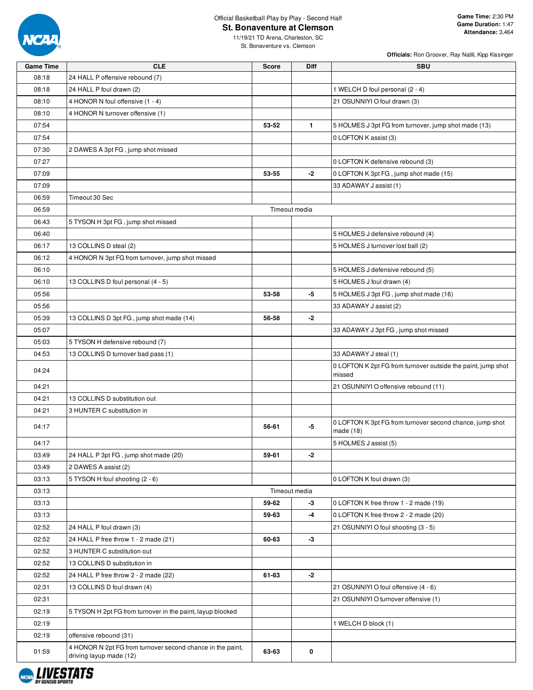

### Official Basketball Play by Play - Second Half **St. Bonaventure at Clemson**

**Officials:** Ron Groover, Ray Natili, Kipp Kissinger

11/19/21 TD Arena, Charleston, SC St. Bonaventure vs. Clemson

| <b>Game Time</b> | <b>CLE</b>                                                                            | <b>Score</b> | Diff          | <b>SBU</b>                                                              |
|------------------|---------------------------------------------------------------------------------------|--------------|---------------|-------------------------------------------------------------------------|
| 08:18            | 24 HALL P offensive rebound (7)                                                       |              |               |                                                                         |
| 08:18            | 24 HALL P foul drawn (2)                                                              |              |               | 1 WELCH D foul personal (2 - 4)                                         |
| 08:10            | 4 HONOR N foul offensive (1 - 4)                                                      |              |               | 21 OSUNNIYI O foul drawn (3)                                            |
| 08:10            | 4 HONOR N turnover offensive (1)                                                      |              |               |                                                                         |
| 07:54            |                                                                                       | 53-52        | $\mathbf{1}$  | 5 HOLMES J 3pt FG from turnover, jump shot made (13)                    |
| 07:54            |                                                                                       |              |               | 0 LOFTON K assist (3)                                                   |
| 07:30            | 2 DAWES A 3pt FG, jump shot missed                                                    |              |               |                                                                         |
| 07:27            |                                                                                       |              |               | 0 LOFTON K defensive rebound (3)                                        |
| 07:09            |                                                                                       | 53-55        | -2            | 0 LOFTON K 3pt FG, jump shot made (15)                                  |
| 07:09            |                                                                                       |              |               | 33 ADAWAY J assist (1)                                                  |
| 06:59            | Timeout 30 Sec                                                                        |              |               |                                                                         |
| 06:59            |                                                                                       |              | Timeout media |                                                                         |
| 06:43            | 5 TYSON H 3pt FG, jump shot missed                                                    |              |               |                                                                         |
| 06:40            |                                                                                       |              |               | 5 HOLMES J defensive rebound (4)                                        |
| 06:17            | 13 COLLINS D steal (2)                                                                |              |               | 5 HOLMES J turnover lost ball (2)                                       |
| 06:12            | 4 HONOR N 3pt FG from turnover, jump shot missed                                      |              |               |                                                                         |
| 06:10            |                                                                                       |              |               | 5 HOLMES J defensive rebound (5)                                        |
| 06:10            | 13 COLLINS D foul personal (4 - 5)                                                    |              |               | 5 HOLMES J foul drawn (4)                                               |
| 05:56            |                                                                                       | 53-58        | -5            | 5 HOLMES J 3pt FG, jump shot made (16)                                  |
| 05:56            |                                                                                       |              |               | 33 ADAWAY J assist (2)                                                  |
| 05:39            | 13 COLLINS D 3pt FG, jump shot made (14)                                              | 56-58        | $-2$          |                                                                         |
| 05:07            |                                                                                       |              |               | 33 ADAWAY J 3pt FG, jump shot missed                                    |
| 05:03            | 5 TYSON H defensive rebound (7)                                                       |              |               |                                                                         |
| 04:53            | 13 COLLINS D turnover bad pass (1)                                                    |              |               | 33 ADAWAY J steal (1)                                                   |
|                  |                                                                                       |              |               | 0 LOFTON K 2pt FG from turnover outside the paint, jump shot            |
| 04:24            |                                                                                       |              |               | missed                                                                  |
| 04:21            |                                                                                       |              |               | 21 OSUNNIYI O offensive rebound (11)                                    |
| 04:21            | 13 COLLINS D substitution out                                                         |              |               |                                                                         |
| 04:21            | 3 HUNTER C substitution in                                                            |              |               |                                                                         |
| 04:17            |                                                                                       | 56-61        | -5            | 0 LOFTON K 3pt FG from turnover second chance, jump shot<br>made $(18)$ |
| 04:17            |                                                                                       |              |               | 5 HOLMES J assist (5)                                                   |
| 03:49            | 24 HALL P 3pt FG, jump shot made (20)                                                 | 59-61        | -2            |                                                                         |
| 03:49            | 2 DAWES A assist (2)                                                                  |              |               |                                                                         |
| 03:13            | 5 TYSON H foul shooting (2 - 6)                                                       |              |               | 0 LOFTON K foul drawn (3)                                               |
| 03:13            |                                                                                       |              | Timeout media |                                                                         |
| 03:13            |                                                                                       | 59-62        | $-3$          | 0 LOFTON K free throw 1 - 2 made (19)                                   |
| 03:13            |                                                                                       | 59-63        | -4            | 0 LOFTON K free throw 2 - 2 made (20)                                   |
| 02:52            | 24 HALL P foul drawn (3)                                                              |              |               | 21 OSUNNIYI O foul shooting (3 - 5)                                     |
| 02:52            | 24 HALL P free throw 1 - 2 made (21)                                                  | 60-63        | $-3$          |                                                                         |
| 02:52            | 3 HUNTER C substitution out                                                           |              |               |                                                                         |
| 02:52            | 13 COLLINS D substitution in                                                          |              |               |                                                                         |
| 02:52            | 24 HALL P free throw 2 - 2 made (22)                                                  | 61-63        | $-2$          |                                                                         |
| 02:31            | 13 COLLINS D foul drawn (4)                                                           |              |               | 21 OSUNNIYI O foul offensive (4 - 6)                                    |
| 02:31            |                                                                                       |              |               | 21 OSUNNIYI O turnover offensive (1)                                    |
| 02:19            | 5 TYSON H 2pt FG from turnover in the paint, layup blocked                            |              |               |                                                                         |
| 02:19            |                                                                                       |              |               | 1 WELCH D block (1)                                                     |
| 02:19            | offensive rebound (31)                                                                |              |               |                                                                         |
| 01:59            | 4 HONOR N 2pt FG from turnover second chance in the paint,<br>driving layup made (12) | 63-63        | 0             |                                                                         |

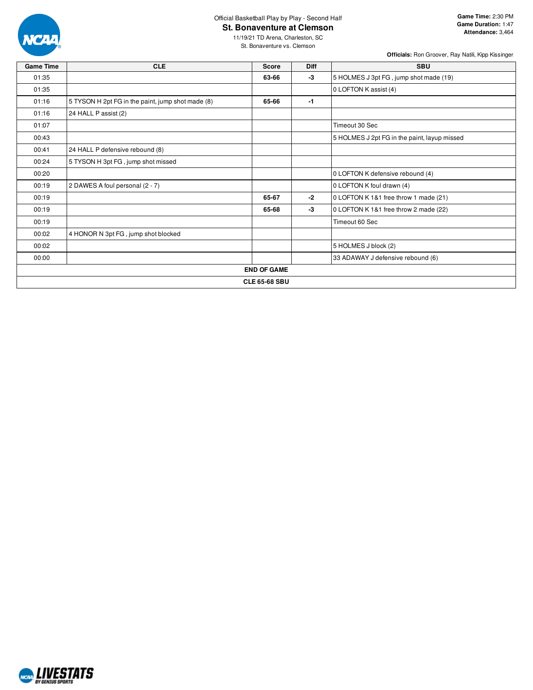

# Official Basketball Play by Play - Second Half

**St. Bonaventure at Clemson**

11/19/21 TD Arena, Charleston, SC St. Bonaventure vs. Clemson

| <b>Game Time</b> | <b>CLE</b>                                        | <b>Score</b>         | Diff | <b>SBU</b>                                   |
|------------------|---------------------------------------------------|----------------------|------|----------------------------------------------|
| 01:35            |                                                   | 63-66                | -3   | 5 HOLMES J 3pt FG, jump shot made (19)       |
| 01:35            |                                                   |                      |      | 0 LOFTON K assist (4)                        |
| 01:16            | 5 TYSON H 2pt FG in the paint, jump shot made (8) | 65-66                | $-1$ |                                              |
| 01:16            | 24 HALL P assist (2)                              |                      |      |                                              |
| 01:07            |                                                   |                      |      | Timeout 30 Sec                               |
| 00:43            |                                                   |                      |      | 5 HOLMES J 2pt FG in the paint, layup missed |
| 00:41            | 24 HALL P defensive rebound (8)                   |                      |      |                                              |
| 00:24            | 5 TYSON H 3pt FG, jump shot missed                |                      |      |                                              |
| 00:20            |                                                   |                      |      | 0 LOFTON K defensive rebound (4)             |
| 00:19            | 2 DAWES A foul personal (2 - 7)                   |                      |      | 0 LOFTON K foul drawn (4)                    |
| 00:19            |                                                   | 65-67                | -2   | 0 LOFTON K 1&1 free throw 1 made (21)        |
| 00:19            |                                                   | 65-68                | -3   | 0 LOFTON K 1&1 free throw 2 made (22)        |
| 00:19            |                                                   |                      |      | Timeout 60 Sec                               |
| 00:02            | 4 HONOR N 3pt FG, jump shot blocked               |                      |      |                                              |
| 00:02            |                                                   |                      |      | 5 HOLMES J block (2)                         |
| 00:00            |                                                   |                      |      | 33 ADAWAY J defensive rebound (6)            |
|                  |                                                   | <b>END OF GAME</b>   |      |                                              |
|                  |                                                   | <b>CLE 65-68 SBU</b> |      |                                              |

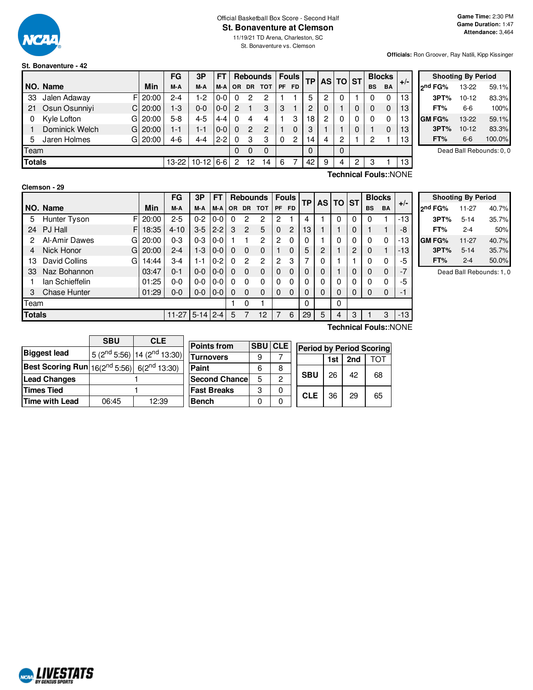

### Official Basketball Box Score - Second Half **St. Bonaventure at Clemson**

11/19/21 TD Arena, Charleston, SC St. Bonaventure vs. Clemson

#### **Officials:** Ron Groover, Ray Natili, Kipp Kissinger

| St. Bonaventure - 42 |  |  |
|----------------------|--|--|
|                      |  |  |

|               |                      |         | FG      | 3P          | FΤ      |           |                 | <b>Rebounds</b> | <b>Fouls</b><br><b>TP</b> |                |             |   | AS TO ST |   |           | <b>Blocks</b> |       |                 |
|---------------|----------------------|---------|---------|-------------|---------|-----------|-----------------|-----------------|---------------------------|----------------|-------------|---|----------|---|-----------|---------------|-------|-----------------|
|               | NO. Name             | Min     | M-A     | M-A         | M-A     | <b>OR</b> | <b>DR</b>       | <b>TOT</b>      | <b>PF</b>                 | <b>FD</b>      |             |   |          |   | <b>BS</b> | BA            | $+/-$ | 2 <sub>nd</sub> |
| 33            | Jalen Adaway         | F120:00 | $2 - 4$ | $1-2$       | $0 - 0$ | $\Omega$  | 2               | 2               |                           |                | 5           | 2 |          |   | 0         |               | 13    |                 |
| 21            | Osun Osunniyi<br>CI  | 20:00   | $1-3$   | $0 - 0$     | $0 - 0$ | 2         |                 | 3               | 3                         |                | 2           | 0 |          |   | 0         |               | 13    |                 |
| 0             | Kyle Lofton<br>G     | 20:00   | $5-8$   | $4 - 5$     | 4-4     |           |                 | 4               |                           | 3              | 18          | 2 |          |   | 0         |               | 13    | <b>GM</b>       |
|               | Dominick Welch<br>GI | 20:00   | $1 - 1$ | 1-1         | $0 - 0$ | 0         | 2               | 2               |                           |                | 3           |   |          |   |           |               | 13    |                 |
| 5.            | Jaren Holmes<br>GI   | 20:00   | 4-6     | $4 - 4$     | $2 - 2$ | 0         | З               | 3               | 0                         | $\overline{c}$ | 14          | 4 | 2        |   | 2         |               | 13    |                 |
| Team          |                      |         |         |             |         | 0         | 0               | 0               |                           |                | $\mathbf 0$ |   | 0        |   |           |               |       |                 |
| <b>Totals</b> |                      |         | 13-22   | $10-12$ 6-6 |         | 2         | 12 <sup>°</sup> | 14              | 6                         |                | 42          | 9 | 4        | 2 | 3         |               | 13    |                 |

|              | <b>Shooting By Period</b> |        |
|--------------|---------------------------|--------|
| 2nd FG%      | 13-22                     | 59.1%  |
| 3PT%         | $10 - 12$                 | 83.3%  |
| FT%          | 6-6                       | 100%   |
| <b>GMFG%</b> | 13-22                     | 59.1%  |
| 3PT%         | $10 - 12$                 | 83.3%  |
| FT%          | $6-6$                     | 100.0% |

Dead Ball Rebounds: 0, 0

#### **Clemson - 29**

**Technical Fouls:**:NONE

|      |                     |       | <b>FG</b> | 3P       | FΤ      |     |                | <b>Rebounds</b> |           | <b>Fouls</b> | ΤP | AS I | <b>TO ST</b> |   | <b>Blocks</b> |           |       |
|------|---------------------|-------|-----------|----------|---------|-----|----------------|-----------------|-----------|--------------|----|------|--------------|---|---------------|-----------|-------|
|      | NO. Name            | Min   | M-A       | M-A      | M-A     | OR. | <b>DR</b>      | <b>TOT</b>      | <b>PF</b> | <b>FD</b>    |    |      |              |   | <b>BS</b>     | <b>BA</b> | $+/-$ |
| 5    | F<br>Hunter Tyson   | 20:00 | $2 - 5$   | $0 - 2$  | 0-0     | 0   | 2              | 2               | 2         |              | 4  |      | 0            | 0 | 0             |           | $-13$ |
| 24   | PJ Hall<br>F        | 18:35 | $4 - 10$  | $3-5$    | $2 - 2$ | 3   | $\overline{2}$ | 5               | 0         | 2            | 13 |      |              | 0 |               |           | -8    |
| 2    | Al-Amir Dawes<br>G  | 20:00 | $0 - 3$   | $0 - 3$  | $0 - 0$ |     |                | $\overline{2}$  | 2         | 0            | 0  |      | 0            | 0 | $\mathbf{0}$  | 0         | $-13$ |
| 4    | Nick Honor<br>G     | 20:00 | $2 - 4$   | $1 - 3$  | $0-0$   | O   | 0              | $\mathbf 0$     |           | 0            | 5  | 2    |              | 2 | 0             |           | $-13$ |
| 13   | David Collins<br>G  | 14:44 | 3-4       | $1 - 1$  | $0 - 2$ | 0   | 2              | 2               | 2         | 3            | 7  | 0    |              |   | 0             | $\Omega$  | -5    |
| 33   | Naz Bohannon        | 03:47 | $0 - 1$   | $0 - 0$  | $0 - 0$ | 0   | $\Omega$       | $\mathbf 0$     | 0         | $\Omega$     | 0  | 0    |              | 0 | 0             | $\Omega$  | $-7$  |
|      | lan Schieffelin     | 01:25 | 0-0       | $0-0$    | $0-0$   |     | 0              | $\Omega$        | 0         | 0            | 0  | 0    | 0            | 0 | 0             | 0         | -5    |
| 3    | <b>Chase Hunter</b> | 01:29 | $0 - 0$   | $0 - 0$  | $0 - 0$ | 0   | $\Omega$       | $\mathbf 0$     | 0         | $\Omega$     | 0  | 0    | 0            | 0 | 0             | $\Omega$  | - 1   |
| Team |                     |       |           |          |         |     | 0              |                 |           |              | 0  |      | 0            |   |               |           |       |
|      | <b>Totals</b>       |       | $11-27$   | $5 - 14$ | $2 - 4$ | 5   |                | 12              |           | 6            | 29 | 5    | 4            | 3 |               | 3         | $-13$ |

| <b>Shooting By Period</b> |           |       |  |  |  |  |  |  |  |
|---------------------------|-----------|-------|--|--|--|--|--|--|--|
| 2 <sup>nd</sup> FG%       | $11 - 27$ | 40.7% |  |  |  |  |  |  |  |
| 3PT%                      | $5 - 14$  | 35.7% |  |  |  |  |  |  |  |
| FT%                       | $2 - 4$   | 50%   |  |  |  |  |  |  |  |
| <b>GMFG%</b>              | $11 - 27$ | 40.7% |  |  |  |  |  |  |  |
| 3PT%                      | $5 - 14$  | 35.7% |  |  |  |  |  |  |  |
| FT%                       | $2 - 4$   | 50.0% |  |  |  |  |  |  |  |

Dead Ball Rebounds: 1, 0

|                                                                    | <b>SBU</b> | <b>CLE</b>                              |  |
|--------------------------------------------------------------------|------------|-----------------------------------------|--|
| <b>Biggest lead</b>                                                |            | 5 ( $2^{nd}$ 5:56) 14 ( $2^{nd}$ 13:30) |  |
| <b>Best Scoring Run</b> $16(2^{nd} 5:56)$ 6(2 <sup>nd</sup> 13:30) |            |                                         |  |
| <b>Lead Changes</b>                                                |            |                                         |  |
| <b>Times Tied</b>                                                  |            |                                         |  |
| <b>Time with Lead</b>                                              | 06:45      | 12:39                                   |  |

| <b>Points from</b> | <b>SBU</b> | <b>CLE</b> |            | <b>Period by Period Scoring</b> |     |     |    |  |
|--------------------|------------|------------|------------|---------------------------------|-----|-----|----|--|
| Turnovers          | 9          |            |            |                                 | 1st | 2nd |    |  |
| Paint              | 6          | 8          |            |                                 | 26  | 42  | 68 |  |
| Second Chancel     | 5          | 2          |            | <b>SBU</b>                      |     |     |    |  |
| <b>Fast Breaks</b> | 3          |            | <b>CLE</b> |                                 | 36  | 29  |    |  |
| Bench              |            |            |            |                                 |     |     | 65 |  |

**Technical Fouls:**:NONE